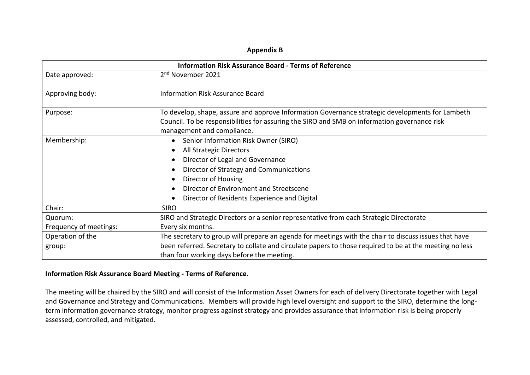## **Appendix B**

| <b>Information Risk Assurance Board - Terms of Reference</b> |                                                                                                         |
|--------------------------------------------------------------|---------------------------------------------------------------------------------------------------------|
| Date approved:                                               | 2 <sup>nd</sup> November 2021                                                                           |
| Approving body:                                              | <b>Information Risk Assurance Board</b>                                                                 |
| Purpose:                                                     | To develop, shape, assure and approve Information Governance strategic developments for Lambeth         |
|                                                              | Council. To be responsibilities for assuring the SIRO and SMB on information governance risk            |
|                                                              | management and compliance.                                                                              |
| Membership:                                                  | Senior Information Risk Owner (SIRO)                                                                    |
|                                                              | All Strategic Directors                                                                                 |
|                                                              | Director of Legal and Governance                                                                        |
|                                                              | Director of Strategy and Communications                                                                 |
|                                                              | Director of Housing                                                                                     |
|                                                              | Director of Environment and Streetscene                                                                 |
|                                                              | Director of Residents Experience and Digital                                                            |
| Chair:                                                       | <b>SIRO</b>                                                                                             |
| Quorum:                                                      | SIRO and Strategic Directors or a senior representative from each Strategic Directorate                 |
| Frequency of meetings:                                       | Every six months.                                                                                       |
| Operation of the                                             | The secretary to group will prepare an agenda for meetings with the chair to discuss issues that have   |
| group:                                                       | been referred. Secretary to collate and circulate papers to those required to be at the meeting no less |
|                                                              | than four working days before the meeting.                                                              |

## **Information Risk Assurance Board Meeting - Terms of Reference.**

The meeting will be chaired by the SIRO and will consist of the Information Asset Owners for each of delivery Directorate together with Legal and Governance and Strategy and Communications. Members will provide high level oversight and support to the SIRO, determine the longterm information governance strategy, monitor progress against strategy and provides assurance that information risk is being properly assessed, controlled, and mitigated.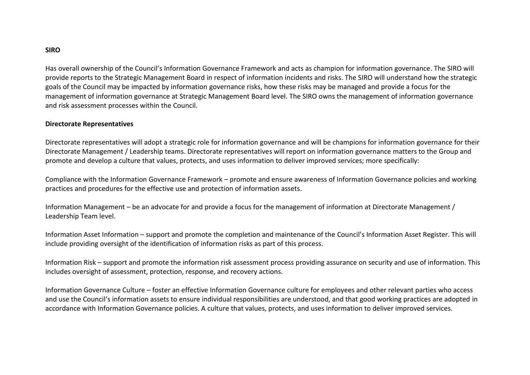## **SIRO**

Has overall ownership of the Council's Information Governance Framework and acts as champion for information governance. The SIRO will provide reports to the Strategic Management Board in respect of information incidents and risks. The SIRO will understand how the strategic goals of the Council may be impacted by information governance risks, how these risks may be managed and provide a focus for the management of information governance at Strategic Management Board level. The SIRO owns the management of information governance and risk assessment processes within the Council.

## **Directorate Representatives**

Directorate representatives will adopt a strategic role for information governance and will be champions for information governance for their Directorate Management / Leadership teams. Directorate representatives will report on information governance matters to the Group and promote and develop a culture that values, protects, and uses information to deliver improved services; more specifically:

Compliance with the Information Governance Framework – promote and ensure awareness of Information Governance policies and working practices and procedures for the effective use and protection of information assets.

Information Management – be an advocate for and provide a focus for the management of information at Directorate Management / Leadership Team level.

Information Asset Information – support and promote the completion and maintenance of the Council's Information Asset Register. This will include providing oversight of the identification of information risks as part of this process.

Information Risk – support and promote the information risk assessment process providing assurance on security and use of information. This includes oversight of assessment, protection, response, and recovery actions.

Information Governance Culture – foster an effective Information Governance culture for employees and other relevant parties who access and use the Council's information assets to ensure individual responsibilities are understood, and that good working practices are adopted in accordance with Information Governance policies. A culture that values, protects, and uses information to deliver improved services.